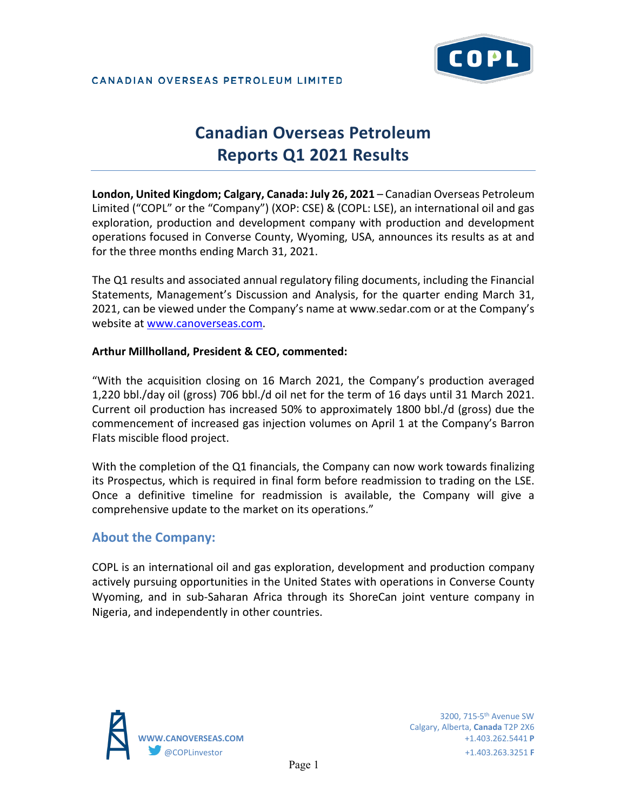

# **Canadian Overseas Petroleum Reports Q1 2021 Results**

**London, United Kingdom; Calgary, Canada: July 26, 2021** – Canadian Overseas Petroleum Limited ("COPL" or the "Company") (XOP: CSE) & (COPL: LSE), an international oil and gas exploration, production and development company with production and development operations focused in Converse County, Wyoming, USA, announces its results as at and for the three months ending March 31, 2021.

The Q1 results and associated annual regulatory filing documents, including the Financial Statements, Management's Discussion and Analysis, for the quarter ending March 31, 2021, can be viewed under the Company's name at www.sedar.com or at the Company's website at [www.canoverseas.com.](http://www.canoverseas.com/)

### **Arthur Millholland, President & CEO, commented:**

"With the acquisition closing on 16 March 2021, the Company's production averaged 1,220 bbl./day oil (gross) 706 bbl./d oil net for the term of 16 days until 31 March 2021. Current oil production has increased 50% to approximately 1800 bbl./d (gross) due the commencement of increased gas injection volumes on April 1 at the Company's Barron Flats miscible flood project.

With the completion of the Q1 financials, the Company can now work towards finalizing its Prospectus, which is required in final form before readmission to trading on the LSE. Once a definitive timeline for readmission is available, the Company will give a comprehensive update to the market on its operations."

## **About the Company:**

COPL is an international oil and gas exploration, development and production company actively pursuing opportunities in the United States with operations in Converse County Wyoming, and in sub-Saharan Africa through its ShoreCan joint venture company in Nigeria, and independently in other countries.



 3200, 715-5th Avenue SW Calgary, Alberta, **Canada** T2P 2X6 **WWW.CANOVERSEAS.COM** +1.403.262.5441 **P** @COPLinvestor +1.403.263.3251 **F**